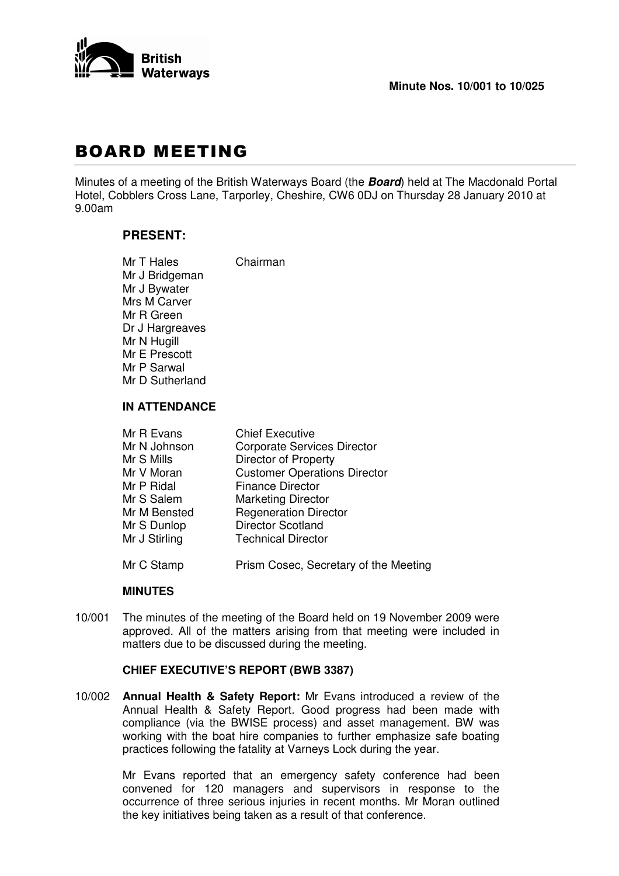

# **BOARD MEETING**

Minutes of a meeting of the British Waterways Board (the *Board*) held at The Macdonald Portal Hotel, Cobblers Cross Lane, Tarporley, Cheshire, CW6 0DJ on Thursday 28 January 2010 at 9.00am

# **PRESENT:**

Mr T Hales Chairman Mr J Bridgeman Mr J Bywater Mrs M Carver Mr R Green Dr J Hargreaves Mr N Hugill Mr E Prescott Mr P Sarwal Mr D Sutherland

# **IN ATTENDANCE**

| Mr R Evans    | <b>Chief Executive</b>                |
|---------------|---------------------------------------|
| Mr N Johnson  | <b>Corporate Services Director</b>    |
| Mr S Mills    | <b>Director of Property</b>           |
| Mr V Moran    | <b>Customer Operations Director</b>   |
| Mr P Ridal    | <b>Finance Director</b>               |
| Mr S Salem    | <b>Marketing Director</b>             |
| Mr M Bensted  | <b>Regeneration Director</b>          |
| Mr S Dunlop   | <b>Director Scotland</b>              |
| Mr J Stirling | <b>Technical Director</b>             |
|               |                                       |
| Mr C Stamp    | Prism Cosec, Secretary of the Meeting |

## **MINUTES**

10/001 The minutes of the meeting of the Board held on 19 November 2009 were approved. All of the matters arising from that meeting were included in matters due to be discussed during the meeting.

# **CHIEF EXECUTIVE'S REPORT (BWB 3387)**

10/002 **Annual Health & Safety Report:** Mr Evans introduced a review of the Annual Health & Safety Report. Good progress had been made with compliance (via the BWISE process) and asset management. BW was working with the boat hire companies to further emphasize safe boating practices following the fatality at Varneys Lock during the year.

> Mr Evans reported that an emergency safety conference had been convened for 120 managers and supervisors in response to the occurrence of three serious injuries in recent months. Mr Moran outlined the key initiatives being taken as a result of that conference.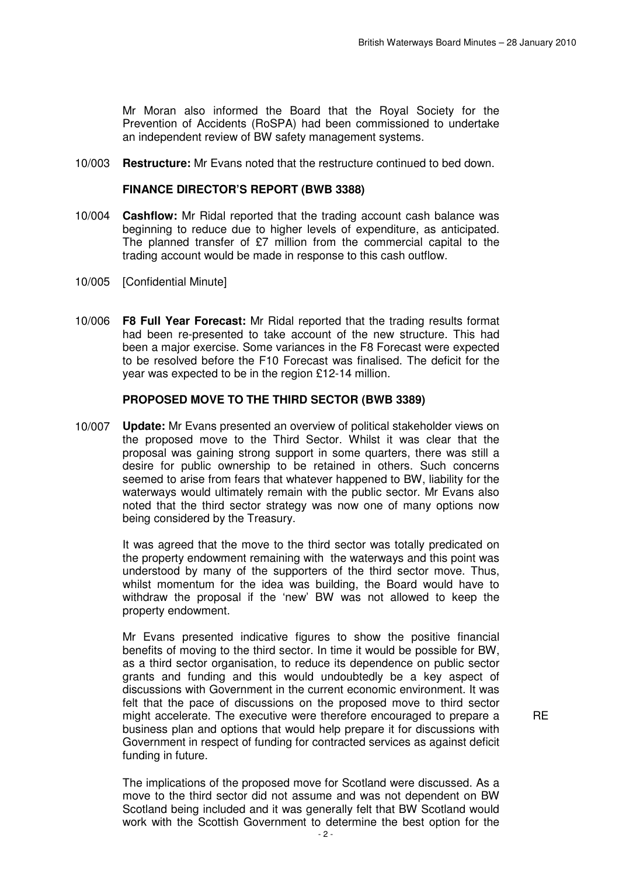Mr Moran also informed the Board that the Royal Society for the Prevention of Accidents (RoSPA) had been commissioned to undertake an independent review of BW safety management systems.

10/003 **Restructure:** Mr Evans noted that the restructure continued to bed down.

#### **FINANCE DIRECTOR'S REPORT (BWB 3388)**

- 10/004 **Cashflow:** Mr Ridal reported that the trading account cash balance was beginning to reduce due to higher levels of expenditure, as anticipated. The planned transfer of £7 million from the commercial capital to the trading account would be made in response to this cash outflow.
- 10/005 [Confidential Minute]
- 10/006 **F8 Full Year Forecast:** Mr Ridal reported that the trading results format had been re-presented to take account of the new structure. This had been a major exercise. Some variances in the F8 Forecast were expected to be resolved before the F10 Forecast was finalised. The deficit for the year was expected to be in the region £12-14 million.

#### **PROPOSED MOVE TO THE THIRD SECTOR (BWB 3389)**

10/007 **Update:** Mr Evans presented an overview of political stakeholder views on the proposed move to the Third Sector. Whilst it was clear that the proposal was gaining strong support in some quarters, there was still a desire for public ownership to be retained in others. Such concerns seemed to arise from fears that whatever happened to BW, liability for the waterways would ultimately remain with the public sector. Mr Evans also noted that the third sector strategy was now one of many options now being considered by the Treasury.

> It was agreed that the move to the third sector was totally predicated on the property endowment remaining with the waterways and this point was understood by many of the supporters of the third sector move. Thus, whilst momentum for the idea was building, the Board would have to withdraw the proposal if the 'new' BW was not allowed to keep the property endowment.

> Mr Evans presented indicative figures to show the positive financial benefits of moving to the third sector. In time it would be possible for BW, as a third sector organisation, to reduce its dependence on public sector grants and funding and this would undoubtedly be a key aspect of discussions with Government in the current economic environment. It was felt that the pace of discussions on the proposed move to third sector might accelerate. The executive were therefore encouraged to prepare a business plan and options that would help prepare it for discussions with Government in respect of funding for contracted services as against deficit funding in future.

**RE** 

The implications of the proposed move for Scotland were discussed. As a move to the third sector did not assume and was not dependent on BW Scotland being included and it was generally felt that BW Scotland would work with the Scottish Government to determine the best option for the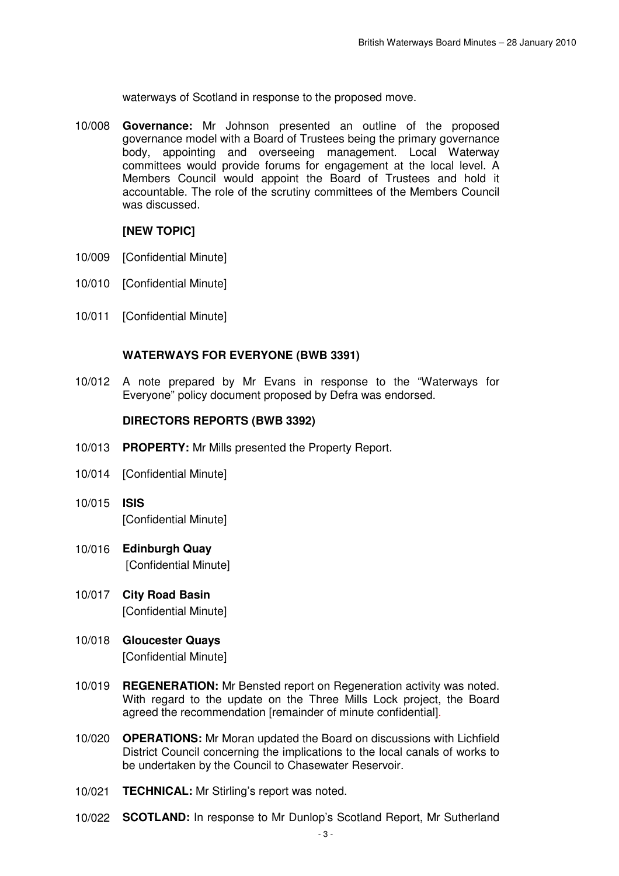waterways of Scotland in response to the proposed move.

10/008 **Governance:** Mr Johnson presented an outline of the proposed governance model with a Board of Trustees being the primary governance body, appointing and overseeing management. Local Waterway committees would provide forums for engagement at the local level. A Members Council would appoint the Board of Trustees and hold it accountable. The role of the scrutiny committees of the Members Council was discussed.

## **[NEW TOPIC]**

- 10/009 [Confidential Minute]
- 10/010 [Confidential Minute]
- 10/011 [Confidential Minute]

## **WATERWAYS FOR EVERYONE (BWB 3391)**

10/012 A note prepared by Mr Evans in response to the "Waterways for Everyone" policy document proposed by Defra was endorsed.

## **DIRECTORS REPORTS (BWB 3392)**

- 10/013 **PROPERTY:** Mr Mills presented the Property Report.
- 10/014 [Confidential Minute]
- 10/015 **ISIS** [Confidential Minute]
- 10/016 **Edinburgh Quay** [Confidential Minute]
- 10/017 **City Road Basin** [Confidential Minute]
- 10/018 **Gloucester Quays** [Confidential Minute]
- 10/019 **REGENERATION:** Mr Bensted report on Regeneration activity was noted. With regard to the update on the Three Mills Lock project, the Board agreed the recommendation [remainder of minute confidential].
- 10/020 **OPERATIONS:** Mr Moran updated the Board on discussions with Lichfield District Council concerning the implications to the local canals of works to be undertaken by the Council to Chasewater Reservoir.
- 10/021 **TECHNICAL:** Mr Stirling's report was noted.
- 10/022 **SCOTLAND:** In response to Mr Dunlop's Scotland Report, Mr Sutherland